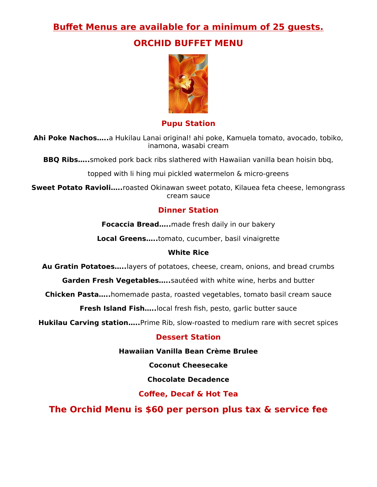# **Buffet Menus are available for a minimum of 25 guests.**

# **ORCHID BUFFET MENU**



**Pupu Station**

**Ahi Poke Nachos…..**a Hukilau Lanai original! ahi poke, Kamuela tomato, avocado, tobiko, inamona, wasabi cream

**BBQ Ribs…..**smoked pork back ribs slathered with Hawaiian vanilla bean hoisin bbq,

topped with li hing mui pickled watermelon & micro-greens

**Sweet Potato Ravioli…..**roasted Okinawan sweet potato, Kilauea feta cheese, lemongrass cream sauce

## **Dinner Station**

**Focaccia Bread…..**made fresh daily in our bakery

**Local Greens…..**tomato, cucumber, basil vinaigrette

#### **White Rice**

**Au Gratin Potatoes…..**layers of potatoes, cheese, cream, onions, and bread crumbs

**Garden Fresh Vegetables…..**sautéed with white wine, herbs and butter

**Chicken Pasta…..**homemade pasta, roasted vegetables, tomato basil cream sauce

**Fresh Island Fish…..**local fresh fish, pesto, garlic butter sauce

**Hukilau Carving station…..**Prime Rib, slow-roasted to medium rare with secret spices

#### **Dessert Station**

**Hawaiian Vanilla Bean Crème Brulee**

**Coconut Cheesecake**

**Chocolate Decadence** 

### **Coffee, Decaf & Hot Tea**

**The Orchid Menu is \$60 per person plus tax & service fee**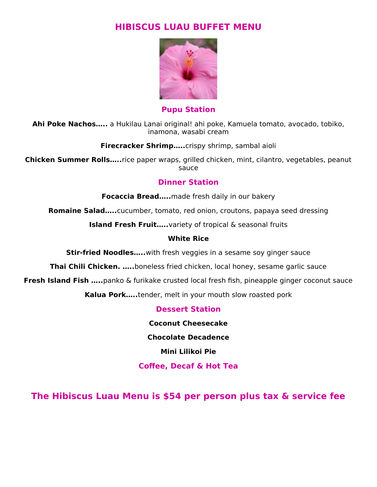## **HIBISCUS LUAU BUFFET MENU**



**Pupu Station**

**Ahi Poke Nachos…..** a Hukilau Lanai original! ahi poke, Kamuela tomato, avocado, tobiko, inamona, wasabi cream

#### **Firecracker Shrimp…..**crispy shrimp, sambal aioli

**Chicken Summer Rolls…..**rice paper wraps, grilled chicken, mint, cilantro, vegetables, peanut sauce

#### **Dinner Station**

**Focaccia Bread…..**made fresh daily in our bakery

**Romaine Salad…..**cucumber, tomato, red onion, croutons, papaya seed dressing

**Island Fresh Fruit.....** variety of tropical & seasonal fruits

#### **White Rice**

**Stir-fried Noodles.....**with fresh veggies in a sesame soy ginger sauce

**Thai Chili Chicken. …..**boneless fried chicken, local honey, sesame garlic sauce

**Fresh Island Fish …..**panko & furikake crusted local fresh fish, pineapple ginger coconut sauce

**Kalua Pork…..**tender, melt in your mouth slow roasted pork

**Dessert Station** 

**Coconut Cheesecake**

**Chocolate Decadence**

**Mini Lilikoi Pie**

**Coffee, Decaf & Hot Tea** 

**The Hibiscus Luau Menu is \$54 per person plus tax & service fee**